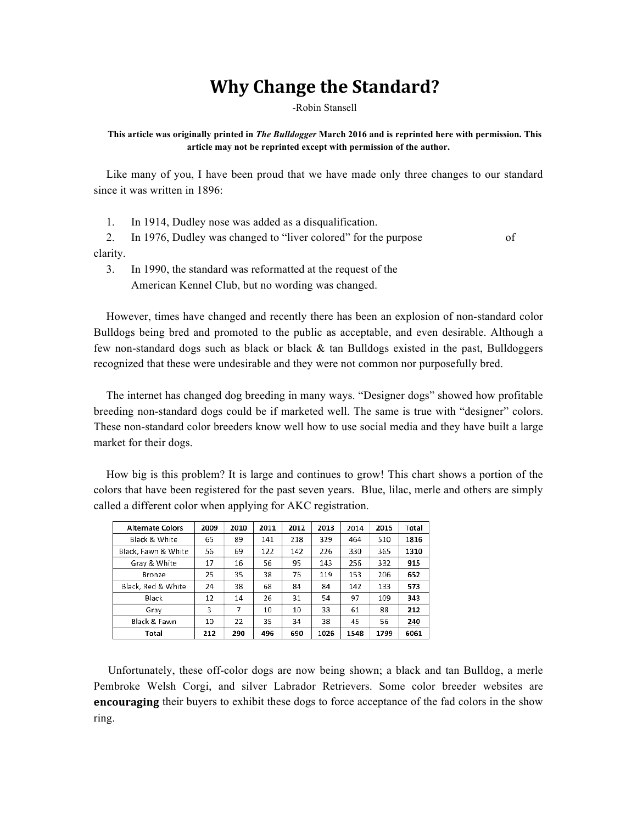## **Why Change the Standard?**

-Robin Stansell

## **This article was originally printed in** *The Bulldogger* **March 2016 and is reprinted here with permission. This article may not be reprinted except with permission of the author.**

Like many of you, I have been proud that we have made only three changes to our standard since it was written in 1896:

1. In 1914, Dudley nose was added as a disqualification.

2. In 1976, Dudley was changed to "liver colored" for the purpose of clarity.

3. In 1990, the standard was reformatted at the request of the American Kennel Club, but no wording was changed.

However, times have changed and recently there has been an explosion of non-standard color Bulldogs being bred and promoted to the public as acceptable, and even desirable. Although a few non-standard dogs such as black or black  $\&$  tan Bulldogs existed in the past, Bulldoggers recognized that these were undesirable and they were not common nor purposefully bred.

The internet has changed dog breeding in many ways. "Designer dogs" showed how profitable breeding non-standard dogs could be if marketed well. The same is true with "designer" colors. These non-standard color breeders know well how to use social media and they have built a large market for their dogs.

How big is this problem? It is large and continues to grow! This chart shows a portion of the colors that have been registered for the past seven years. Blue, lilac, merle and others are simply called a different color when applying for AKC registration.

| <b>Alternate Colors</b> | 2009 | 2010 | 2011 | 2012 | 2013 | 2014 | 2015 | Total |
|-------------------------|------|------|------|------|------|------|------|-------|
| Black & White           | 65   | 89   | 141  | 218  | 329  | 464  | 510  | 1816  |
| Black, Fawn & White     | 56   | 69   | 122  | 142  | 226  | 330  | 365  | 1310  |
| Grav & White            | 17   | 16   | 56   | 95   | 143  | 256  | 332  | 915   |
| Bronze                  | 25   | 35   | 38   | 76   | 119  | 153  | 206  | 652   |
| Black, Red & White      | 24   | 38   | 68   | 84   | 84   | 142  | 133  | 573   |
| Black                   | 12   | 14   | 26   | 31   | 54   | 97   | 109  | 343   |
| Grav                    | 3    | 7    | 10   | 10   | 33   | 61   | 88   | 212   |
| Black & Fawn            | 10   | 22   | 35   | 34   | 38   | 45   | 56   | 240   |
| Total                   | 212  | 290  | 496  | 690  | 1026 | 1548 | 1799 | 6061  |

 Unfortunately, these off-color dogs are now being shown; a black and tan Bulldog, a merle Pembroke Welsh Corgi, and silver Labrador Retrievers. Some color breeder websites are **encouraging** their buyers to exhibit these dogs to force acceptance of the fad colors in the show ring.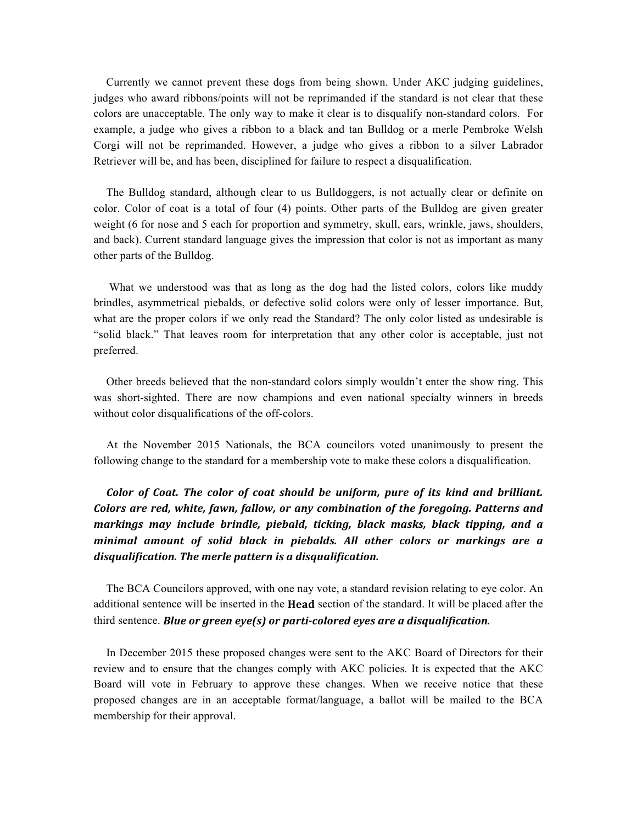Currently we cannot prevent these dogs from being shown. Under AKC judging guidelines, judges who award ribbons/points will not be reprimanded if the standard is not clear that these colors are unacceptable. The only way to make it clear is to disqualify non-standard colors. For example, a judge who gives a ribbon to a black and tan Bulldog or a merle Pembroke Welsh Corgi will not be reprimanded. However, a judge who gives a ribbon to a silver Labrador Retriever will be, and has been, disciplined for failure to respect a disqualification.

The Bulldog standard, although clear to us Bulldoggers, is not actually clear or definite on color. Color of coat is a total of four (4) points. Other parts of the Bulldog are given greater weight (6 for nose and 5 each for proportion and symmetry, skull, ears, wrinkle, jaws, shoulders, and back). Current standard language gives the impression that color is not as important as many other parts of the Bulldog.

What we understood was that as long as the dog had the listed colors, colors like muddy brindles, asymmetrical piebalds, or defective solid colors were only of lesser importance. But, what are the proper colors if we only read the Standard? The only color listed as undesirable is "solid black." That leaves room for interpretation that any other color is acceptable, just not preferred.

Other breeds believed that the non-standard colors simply wouldn't enter the show ring. This was short-sighted. There are now champions and even national specialty winners in breeds without color disqualifications of the off-colors.

At the November 2015 Nationals, the BCA councilors voted unanimously to present the following change to the standard for a membership vote to make these colors a disqualification.

*Color of Coat. The color of coat should be uniform, pure of its kind and brilliant.* Colors are red, white, fawn, fallow, or any combination of the foregoing. Patterns and markings may include brindle, piebald, ticking, black masks, black tipping, and a minimal amount of solid black in piebalds. All other colors or markings are a disqualification. The merle pattern is a disqualification.

The BCA Councilors approved, with one nay vote, a standard revision relating to eye color. An additional sentence will be inserted in the **Head** section of the standard. It will be placed after the third sentence. **Blue or green eye(s)** or parti-colored eyes are a disqualification.

In December 2015 these proposed changes were sent to the AKC Board of Directors for their review and to ensure that the changes comply with AKC policies. It is expected that the AKC Board will vote in February to approve these changes. When we receive notice that these proposed changes are in an acceptable format/language, a ballot will be mailed to the BCA membership for their approval.